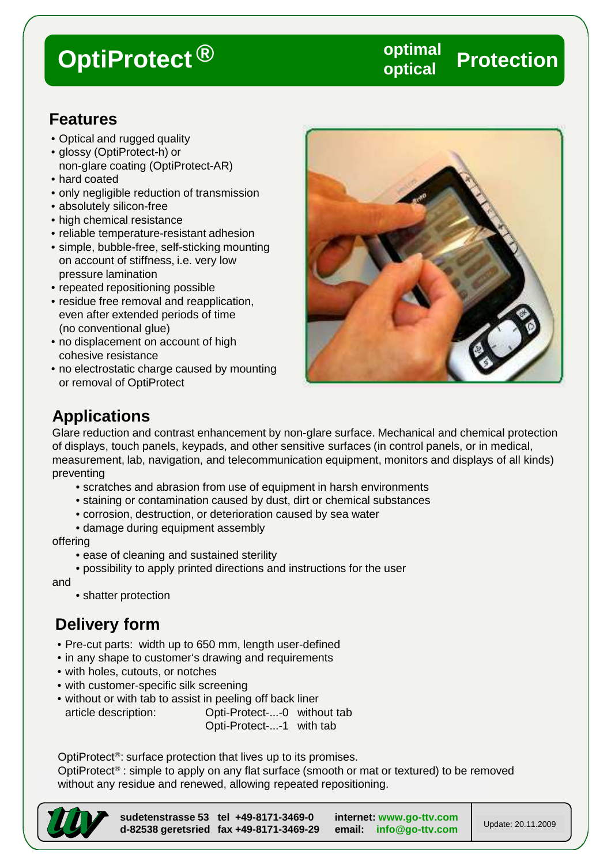### **OptiProtect Protection optimal ® optical**

### **Features**

- Optical and rugged quality
- glossy (OptiProtect-h) or non-glare coating (OptiProtect-AR)
- hard coated
- only negligible reduction of transmission
- absolutely silicon-free
- high chemical resistance
- reliable temperature-resistant adhesion
- simple, bubble-free, self-sticking mounting on account of stiffness, i.e. very low pressure lamination
- repeated repositioning possible
- residue free removal and reapplication, even after extended periods of time (no conventional glue)
- no displacement on account of high cohesive resistance
- no electrostatic charge caused by mounting or removal of OptiProtect



## **Applications**

Glare reduction and contrast enhancement by non-glare surface. Mechanical and chemical protection of displays, touch panels, keypads, and other sensitive surfaces (in control panels, or in medical, measurement, lab, navigation, and telecommunication equipment, monitors and displays of all kinds) preventing

- scratches and abrasion from use of equipment in harsh environments
- staining or contamination caused by dust, dirt or chemical substances
- corrosion, destruction, or deterioration caused by sea water
- damage during equipment assembly

offering

- ease of cleaning and sustained sterility
- possibility to apply printed directions and instructions for the user

and

• shatter protection

## **Delivery form**

- Pre-cut parts: width up to 650 mm, length user-defined
- in any shape to customer's drawing and requirements
- with holes, cutouts, or notches
- with customer-specific silk screening
- without or with tab to assist in peeling off back liner

article description: Opti-Protect-...-0 without tab Opti-Protect-...-1 with tab

OptiProtect<sup>®</sup>: surface protection that lives up to its promises.

OptiProtect<sup>®</sup> : simple to apply on any flat surface (smooth or mat or textured) to be removed without any residue and renewed, allowing repeated repositioning.